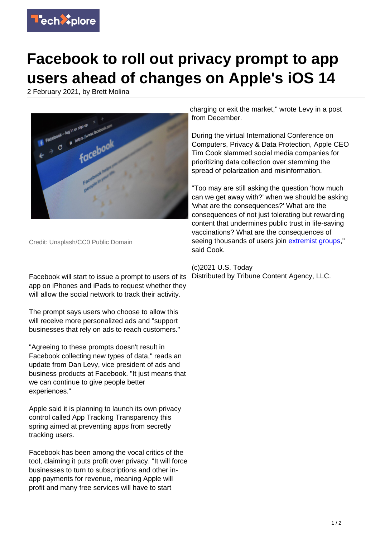

## **Facebook to roll out privacy prompt to app users ahead of changes on Apple's iOS 14**

2 February 2021, by Brett Molina



Credit: Unsplash/CC0 Public Domain

Facebook will start to issue a prompt to users of its app on iPhones and iPads to request whether they will allow the social network to track their activity.

The prompt says users who choose to allow this will receive more personalized ads and "support businesses that rely on ads to reach customers."

"Agreeing to these prompts doesn't result in Facebook collecting new types of data," reads an update from Dan Levy, vice president of ads and business products at Facebook. "It just means that we can continue to give people better experiences."

Apple said it is planning to launch its own privacy control called App Tracking Transparency this spring aimed at preventing apps from secretly tracking users.

Facebook has been among the vocal critics of the tool, claiming it puts profit over privacy. "It will force businesses to turn to subscriptions and other inapp payments for revenue, meaning Apple will profit and many free services will have to start

charging or exit the market," wrote Levy in a post from December.

During the virtual International Conference on Computers, Privacy & Data Protection, Apple CEO Tim Cook slammed social media companies for prioritizing data collection over stemming the spread of polarization and misinformation.

"Too may are still asking the question 'how much can we get away with?' when we should be asking 'what are the consequences?' What are the consequences of not just tolerating but rewarding content that undermines public trust in life-saving vaccinations? What are the consequences of seeing thousands of users join [extremist groups](https://techxplore.com/tags/extremist+groups/)," said Cook.

## (c)2021 U.S. Today Distributed by Tribune Content Agency, LLC.